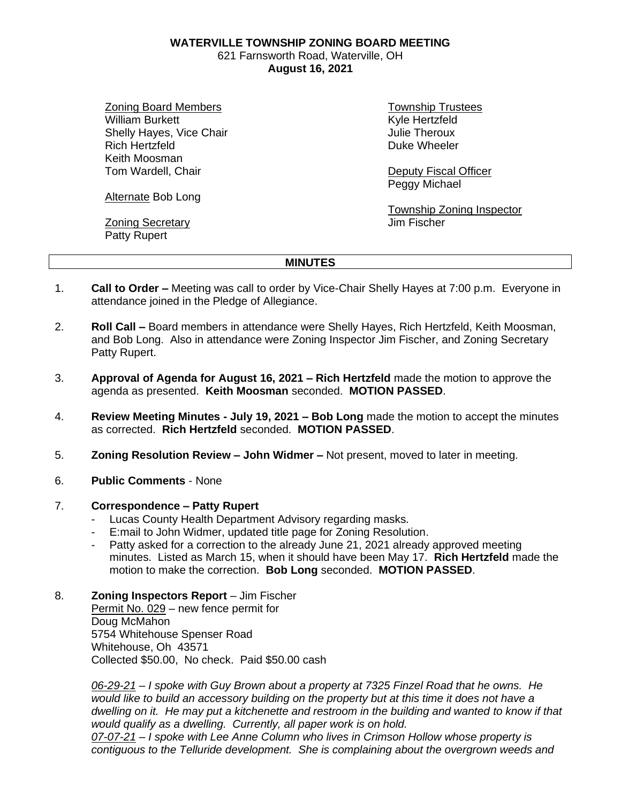**WATERVILLE TOWNSHIP ZONING BOARD MEETING**

621 Farnsworth Road, Waterville, OH **August 16, 2021**

Zoning Board Members William Burkett Shelly Hayes, Vice Chair Rich Hertzfeld Keith Moosman Tom Wardell, Chair

Township Trustees Kyle Hertzfeld Julie Theroux Duke Wheeler

Deputy Fiscal Officer Peggy Michael

Township Zoning Inspector Jim Fischer

Alternate Bob Long

Zoning Secretary Patty Rupert

## **MINUTES**

- 1. **Call to Order –** Meeting was call to order by Vice-Chair Shelly Hayes at 7:00 p.m. Everyone in attendance joined in the Pledge of Allegiance.
- 2. **Roll Call –** Board members in attendance were Shelly Hayes, Rich Hertzfeld, Keith Moosman, and Bob Long. Also in attendance were Zoning Inspector Jim Fischer, and Zoning Secretary Patty Rupert.
- 3. **Approval of Agenda for August 16, 2021 – Rich Hertzfeld** made the motion to approve the agenda as presented. **Keith Moosman** seconded. **MOTION PASSED**.
- 4. **Review Meeting Minutes - July 19, 2021 – Bob Long** made the motion to accept the minutes as corrected. **Rich Hertzfeld** seconded. **MOTION PASSED**.
- 5. **Zoning Resolution Review – John Widmer –** Not present, moved to later in meeting.
- 6. **Public Comments** None

## 7. **Correspondence – Patty Rupert**

- Lucas County Health Department Advisory regarding masks.
- E:mail to John Widmer, updated title page for Zoning Resolution.
- Patty asked for a correction to the already June 21, 2021 already approved meeting minutes. Listed as March 15, when it should have been May 17. **Rich Hertzfeld** made the motion to make the correction. **Bob Long** seconded. **MOTION PASSED**.
- 8. **Zoning Inspectors Report** Jim Fischer Permit No. 029 – new fence permit for Doug McMahon

5754 Whitehouse Spenser Road Whitehouse, Oh 43571 Collected \$50.00, No check. Paid \$50.00 cash

*06-29-21 – I spoke with Guy Brown about a property at 7325 Finzel Road that he owns. He would like to build an accessory building on the property but at this time it does not have a dwelling on it. He may put a kitchenette and restroom in the building and wanted to know if that would qualify as a dwelling. Currently, all paper work is on hold.*

*07-07-21 – I spoke with Lee Anne Column who lives in Crimson Hollow whose property is contiguous to the Telluride development. She is complaining about the overgrown weeds and*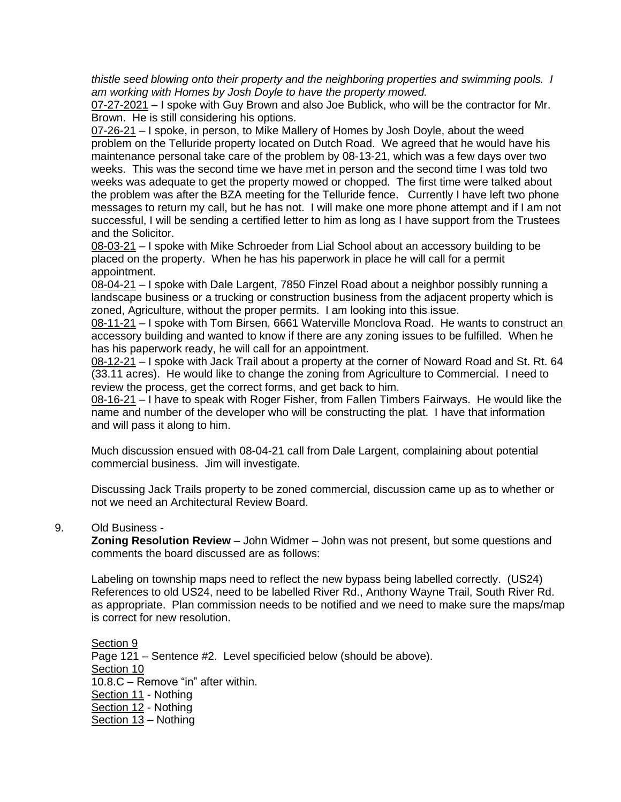*thistle seed blowing onto their property and the neighboring properties and swimming pools. I am working with Homes by Josh Doyle to have the property mowed.*

07-27-2021 – I spoke with Guy Brown and also Joe Bublick, who will be the contractor for Mr. Brown. He is still considering his options.

07-26-21 – I spoke, in person, to Mike Mallery of Homes by Josh Doyle, about the weed problem on the Telluride property located on Dutch Road. We agreed that he would have his maintenance personal take care of the problem by 08-13-21, which was a few days over two weeks. This was the second time we have met in person and the second time I was told two weeks was adequate to get the property mowed or chopped. The first time were talked about the problem was after the BZA meeting for the Telluride fence. Currently I have left two phone messages to return my call, but he has not. I will make one more phone attempt and if I am not successful, I will be sending a certified letter to him as long as I have support from the Trustees and the Solicitor.

08-03-21 – I spoke with Mike Schroeder from Lial School about an accessory building to be placed on the property. When he has his paperwork in place he will call for a permit appointment.

08-04-21 – I spoke with Dale Largent, 7850 Finzel Road about a neighbor possibly running a landscape business or a trucking or construction business from the adjacent property which is zoned, Agriculture, without the proper permits. I am looking into this issue.

08-11-21 – I spoke with Tom Birsen, 6661 Waterville Monclova Road. He wants to construct an accessory building and wanted to know if there are any zoning issues to be fulfilled. When he has his paperwork ready, he will call for an appointment.

08-12-21 – I spoke with Jack Trail about a property at the corner of Noward Road and St. Rt. 64 (33.11 acres). He would like to change the zoning from Agriculture to Commercial. I need to review the process, get the correct forms, and get back to him.

08-16-21 – I have to speak with Roger Fisher, from Fallen Timbers Fairways. He would like the name and number of the developer who will be constructing the plat. I have that information and will pass it along to him.

Much discussion ensued with 08-04-21 call from Dale Largent, complaining about potential commercial business. Jim will investigate.

Discussing Jack Trails property to be zoned commercial, discussion came up as to whether or not we need an Architectural Review Board.

## 9. Old Business -

**Zoning Resolution Review** – John Widmer – John was not present, but some questions and comments the board discussed are as follows:

Labeling on township maps need to reflect the new bypass being labelled correctly. (US24) References to old US24, need to be labelled River Rd., Anthony Wayne Trail, South River Rd. as appropriate. Plan commission needs to be notified and we need to make sure the maps/map is correct for new resolution.

Section 9 Page 121 – Sentence #2. Level specificied below (should be above). Section 10 10.8.C – Remove "in" after within. Section 11 - Nothing Section 12 - Nothing Section 13 – Nothing